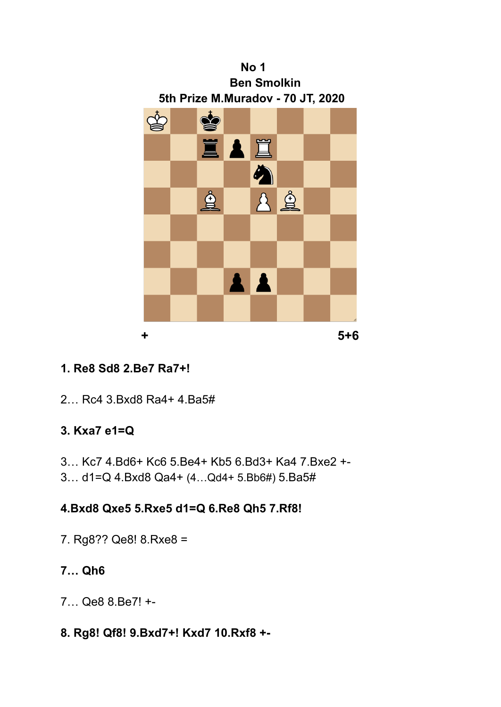

# **1. Re8 Sd8 2.Be7 Ra7+!**

2… Rc4 3.Bxd8 Ra4+ 4.Ba5#

## **3. Kxa7 e1=Q**

- 3… Kc7 4.Bd6+ Kc6 5.Be4+ Kb5 6.Bd3+ Ka4 7.Bxe2 +-
- 3… d1=Q 4.Bxd8 Qa4+ (4…Qd4+ 5.Bb6#) 5.Ba5#

## **4.Bxd8 Qxe5 5.Rxe5 d1=Q 6.Re8 Qh5 7.Rf8!**

7. Rg8?? Qe8! 8.Rxe8 =

# **7… Qh6**

- 7… Qe8 8.Be7! +-
- **8. Rg8! Qf8! 9.Bxd7+! Kxd7 10.Rxf8 +-**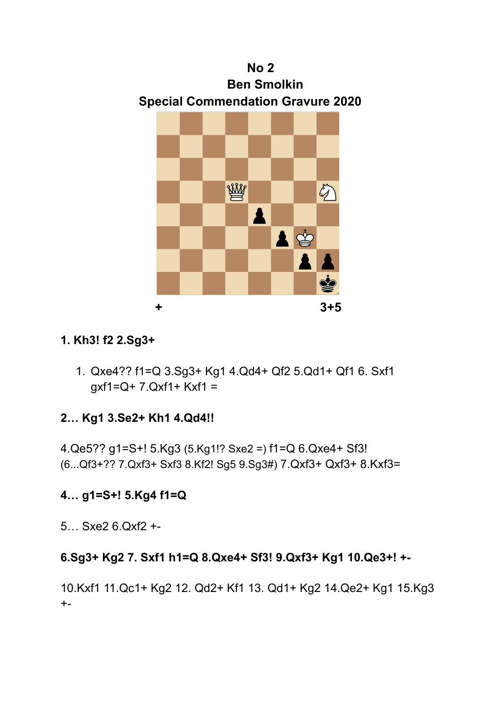

## **1. Kh3! f2 2.Sg3+**

1. Qxe4?? f1=Q 3.Sg3+ Kg1 4.Qd4+ Qf2 5.Qd1+ Qf1 6. Sxf1  $gxf1=Q+7.Qxf1+Kxf1 =$ 

# **2… Kg1 3.Se2+ Kh1 4.Qd4!!**

4.Qe5?? g1=S+! 5.Kg3 (5.Kg1!? Sxe2 =) f1=Q 6.Qxe4+ Sf3! (6...Qf3+?? 7.Qxf3+ Sxf3 8.Kf2! Sg5 9.Sg3#) 7.Qxf3+ Qxf3+ 8.Kxf3=

# **4… g1=S+! 5.Kg4 f1=Q**

5… Sxe2 6.Qxf2 +-

# **6.Sg3+ Kg2 7. Sxf1 h1=Q 8.Qxe4+ Sf3! 9.Qxf3+ Kg1 10.Qe3+! +-**

10.Kxf1 11.Qc1+ Kg2 12. Qd2+ Kf1 13. Qd1+ Kg2 14.Qe2+ Kg1 15.Kg3  $+$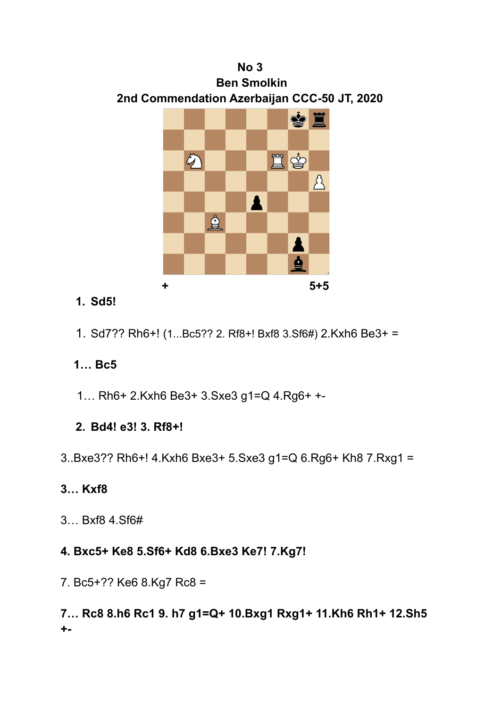

## **1. Sd5!**

1. Sd7?? Rh6+! (1...Bc5?? 2. Rf8+! Bxf8 3.Sf6#) 2.Kxh6 Be3+ =

# **1… Bc5**

1… Rh6+ 2.Kxh6 Be3+ 3.Sxe3 g1=Q 4.Rg6+ +-

## **2. Bd4! e3! 3. Rf8+!**

3..Bxe3?? Rh6+! 4.Kxh6 Bxe3+ 5.Sxe3 g1=Q 6.Rg6+ Kh8 7.Rxg1 =

## **3… Kxf8**

3… Bxf8 4.Sf6#

## **4. Bxc5+ Ke8 5.Sf6+ Kd8 6.Bxe3 Ke7! 7.Kg7!**

7. Bc5+?? Ke6 8.Kg7 Rc8 =

**7… Rc8 8.h6 Rc1 9. h7 g1=Q+ 10.Bxg1 Rxg1+ 11.Kh6 Rh1+ 12.Sh5 +-**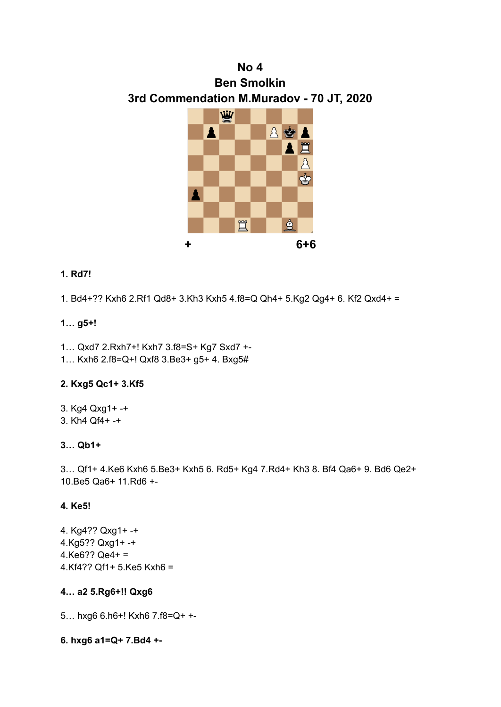# **No 4 Ben Smolkin 3rd Commendation M.Muradov - 70 JT, 2020**



### **1. Rd7!**

1. Bd4+?? Kxh6 2.Rf1 Qd8+ 3.Kh3 Kxh5 4.f8=Q Qh4+ 5.Kg2 Qg4+ 6. Kf2 Qxd4+ =

### **1… g5+!**

- 1… Qxd7 2.Rxh7+! Kxh7 3.f8=S+ Kg7 Sxd7 +-
- 1… Kxh6 2.f8=Q+! Qxf8 3.Be3+ g5+ 4. Bxg5#

### **2. Kxg5 Qc1+ 3.Kf5**

3. Kg4 Qxg1+ -+ 3. Kh4 Qf4+ -+

### **3… Qb1+**

3… Qf1+ 4.Ke6 Kxh6 5.Be3+ Kxh5 6. Rd5+ Kg4 7.Rd4+ Kh3 8. Bf4 Qa6+ 9. Bd6 Qe2+ 10.Be5 Qa6+ 11.Rd6 +-

### **4. Ke5!**

4. Kg4?? Qxg1+ -+ 4.Kg5?? Qxg1+ -+  $4.Ke6?? Qe4+ =$ 4.Kf4?? Qf1+ 5.Ke5 Kxh6 =

### **4… a2 5.Rg6+!! Qxg6**

5… hxg6 6.h6+! Kxh6 7.f8=Q+ +-

**6. hxg6 a1=Q+ 7.Bd4 +-**